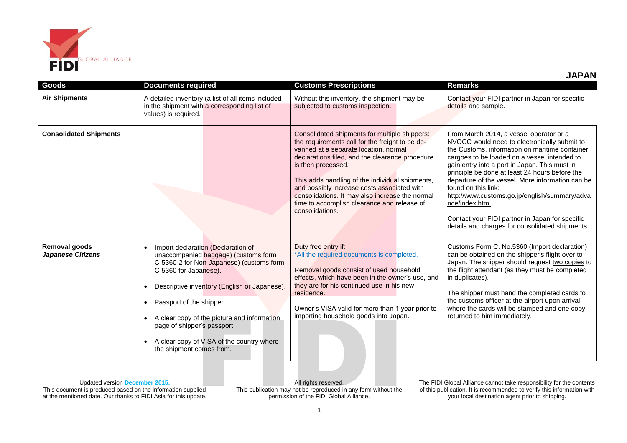

| <b>JAPAN</b> |  |  |
|--------------|--|--|
|              |  |  |

| Goods                                     | <b>Documents required</b>                                                                                                                                                                                                                                                                                                                                                                                    | <b>Customs Prescriptions</b>                                                                                                                                                                                                                                                                                                                                                                                                              | <b>Remarks</b>                                                                                                                                                                                                                                                                                                                                                                                                                                                                                                                                   |
|-------------------------------------------|--------------------------------------------------------------------------------------------------------------------------------------------------------------------------------------------------------------------------------------------------------------------------------------------------------------------------------------------------------------------------------------------------------------|-------------------------------------------------------------------------------------------------------------------------------------------------------------------------------------------------------------------------------------------------------------------------------------------------------------------------------------------------------------------------------------------------------------------------------------------|--------------------------------------------------------------------------------------------------------------------------------------------------------------------------------------------------------------------------------------------------------------------------------------------------------------------------------------------------------------------------------------------------------------------------------------------------------------------------------------------------------------------------------------------------|
| <b>Air Shipments</b>                      | A detailed inventory (a list of all items included<br>in the shipment with a corresponding list of<br>values) is required.                                                                                                                                                                                                                                                                                   | Without this inventory, the shipment may be<br>subjected to customs inspection.                                                                                                                                                                                                                                                                                                                                                           | Contact your FIDI partner in Japan for specific<br>details and sample.                                                                                                                                                                                                                                                                                                                                                                                                                                                                           |
| <b>Consolidated Shipments</b>             |                                                                                                                                                                                                                                                                                                                                                                                                              | Consolidated shipments for multiple shippers:<br>the requirements call for the freight to be de-<br>vanned at a separate location, normal<br>declarations filed, and the clearance procedure<br>is then processed.<br>This adds handling of the individual shipments,<br>and possibly increase costs associated with<br>consolidations. It may also increase the normal<br>time to accomplish clearance and release of<br>consolidations. | From March 2014, a vessel operator or a<br>NVOCC would need to electronically submit to<br>the Customs, information on maritime container<br>cargoes to be loaded on a vessel intended to<br>gain entry into a port in Japan. This must in<br>principle be done at least 24 hours before the<br>departure of the vessel. More information can be<br>found on this link:<br>http://www.customs.go.jp/english/summary/adva<br>nce/index.htm.<br>Contact your FIDI partner in Japan for specific<br>details and charges for consolidated shipments. |
| Removal goods<br><b>Japanese Citizens</b> | Import declaration (Declaration of<br>unaccompanied baggage) (customs form<br>C-5360-2 for Non-Japanese) (customs form<br>C-5360 for Japanese).<br>Descriptive inventory (English or Japanese).<br>$\bullet$<br>Passport of the shipper.<br>A clear copy of the picture and information<br>page of shipper's passport.<br>A clear copy of VISA of the country where<br>$\bullet$<br>the shipment comes from. | Duty free entry if:<br>*All the required documents is completed.<br>Removal goods consist of used household<br>effects, which have been in the owner's use, and<br>they are for his continued use in his new<br>residence.<br>Owner's VISA valid for more than 1 year prior to<br>importing household goods into Japan.                                                                                                                   | Customs Form C. No.5360 (Import declaration)<br>can be obtained on the shipper's flight over to<br>Japan. The shipper should request two copies to<br>the flight attendant (as they must be completed<br>in duplicates).<br>The shipper must hand the completed cards to<br>the customs officer at the airport upon arrival,<br>where the cards will be stamped and one copy<br>returned to him immediately.                                                                                                                                     |

Updated version **December 2015.**

This document is produced based on the information supplied at the mentioned date. Our thanks to FIDI Asia for this update.

All rights reserved. This publication may not be reproduced in any form without the permission of the FIDI Global Alliance.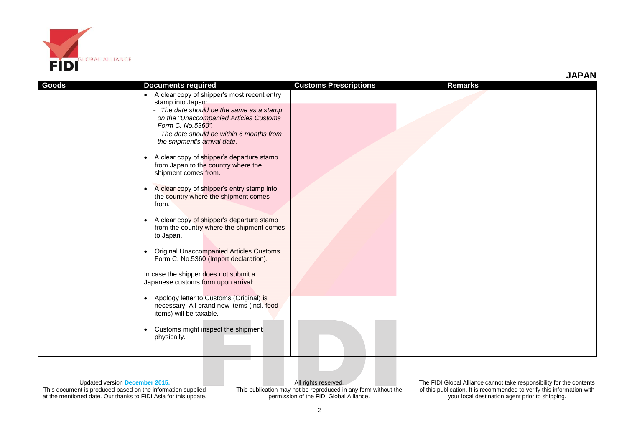

| Goods | <b>Documents required</b>                                                                                                                                                            | <b>Customs Prescriptions</b> | <b>Remarks</b> |
|-------|--------------------------------------------------------------------------------------------------------------------------------------------------------------------------------------|------------------------------|----------------|
|       | • A clear copy of shipper's most recent entry<br>stamp into Japan:                                                                                                                   |                              |                |
|       | - The date should be the same as a stamp<br>on the "Unaccompanied Articles Customs<br>Form C. No.5360".<br>- The date should be within 6 months from<br>the shipment's arrival date. |                              |                |
|       | A clear copy of shipper's departure stamp<br>$\bullet$<br>from Japan to the country where the<br>shipment comes from.                                                                |                              |                |
|       | A clear copy of shipper's entry stamp into<br>$\bullet$<br>the country where the shipment comes<br>from.                                                                             |                              |                |
|       | A clear copy of shipper's departure stamp<br>$\bullet$<br>from the country where the shipment comes<br>to Japan.                                                                     |                              |                |
|       | <b>Original Unaccompanied Articles Customs</b><br>$\bullet$<br>Form C. No.5360 (Import declaration).                                                                                 |                              |                |
|       | In case the shipper does not submit a<br>Japanese customs form upon arrival:                                                                                                         |                              |                |
|       | Apology letter to Customs (Original) is<br>$\bullet$<br>necessary. All brand new items (incl. food<br>items) will be taxable.                                                        |                              |                |
|       | Customs might inspect the shipment<br>$\bullet$<br>physically.                                                                                                                       |                              |                |

Updated version **December 2015.** This document is produced based on the information supplied at the mentioned date. Our thanks to FIDI Asia for this update.

All rights reserved. This publication may not be reproduced in any form without the permission of the FIDI Global Alliance.

The FIDI Global Alliance cannot take responsibility for the contents of this publication. It is recommended to verify this information with your local destination agent prior to shipping.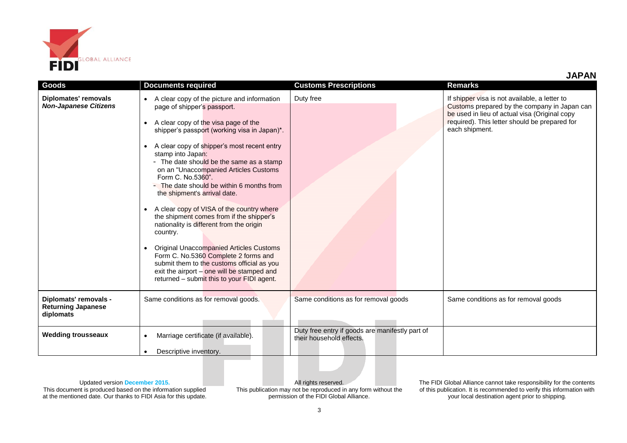

| Goods                                                           | <b>Documents required</b>                                                                                                                                                                                                                                                                                                                                                                                                                                                                                                                                                                                                                                                                                                                                                                                                                                              | <b>Customs Prescriptions</b>                                                | <b>Remarks</b>                                                                                                                                                                                                    |
|-----------------------------------------------------------------|------------------------------------------------------------------------------------------------------------------------------------------------------------------------------------------------------------------------------------------------------------------------------------------------------------------------------------------------------------------------------------------------------------------------------------------------------------------------------------------------------------------------------------------------------------------------------------------------------------------------------------------------------------------------------------------------------------------------------------------------------------------------------------------------------------------------------------------------------------------------|-----------------------------------------------------------------------------|-------------------------------------------------------------------------------------------------------------------------------------------------------------------------------------------------------------------|
| Diplomates' removals<br><b>Non-Japanese Citizens</b>            | A clear copy of the picture and information<br>$\bullet$<br>page of shipper's passport.<br>A clear copy of the visa page of the<br>$\bullet$<br>shipper's passport (working visa in Japan)*.<br>A clear copy of shipper's most recent entry<br>$\bullet$<br>stamp into Japan:<br>- The date should be the same as a stamp<br>on an "Unaccompanied Articles Customs<br>Form C. No.5360".<br>- The date should be within 6 months from<br>the shipment's arrival date.<br>A clear copy of VISA of the country where<br>the shipment comes from if the shipper's<br>nationality is different from the origin<br>country.<br><b>Original Unaccompanied Articles Customs</b><br>$\bullet$<br>Form C. No.5360 Complete 2 forms and<br>submit them to the customs official as you<br>exit the airport - one will be stamped and<br>returned - submit this to your FIDI agent. | Duty free                                                                   | If shipper visa is not available, a letter to<br>Customs prepared by the company in Japan can<br>be used in lieu of actual visa (Original copy<br>required). This letter should be prepared for<br>each shipment. |
| Diplomats' removals -<br><b>Returning Japanese</b><br>diplomats | Same conditions as for removal goods.                                                                                                                                                                                                                                                                                                                                                                                                                                                                                                                                                                                                                                                                                                                                                                                                                                  | Same conditions as for removal goods                                        | Same conditions as for removal goods                                                                                                                                                                              |
| <b>Wedding trousseaux</b>                                       | Marriage certificate (if available).<br>$\bullet$                                                                                                                                                                                                                                                                                                                                                                                                                                                                                                                                                                                                                                                                                                                                                                                                                      | Duty free entry if goods are manifestly part of<br>their household effects. |                                                                                                                                                                                                                   |
|                                                                 | Descriptive inventory.<br>$\bullet$                                                                                                                                                                                                                                                                                                                                                                                                                                                                                                                                                                                                                                                                                                                                                                                                                                    |                                                                             |                                                                                                                                                                                                                   |

## Updated version **December 2015.**

This document is produced based on the information supplied at the mentioned date. Our thanks to FIDI Asia for this update.

All rights reserved. This publication may not be reproduced in any form without the permission of the FIDI Global Alliance.

The FIDI Global Alliance cannot take responsibility for the contents of this publication. It is recommended to verify this information with your local destination agent prior to shipping.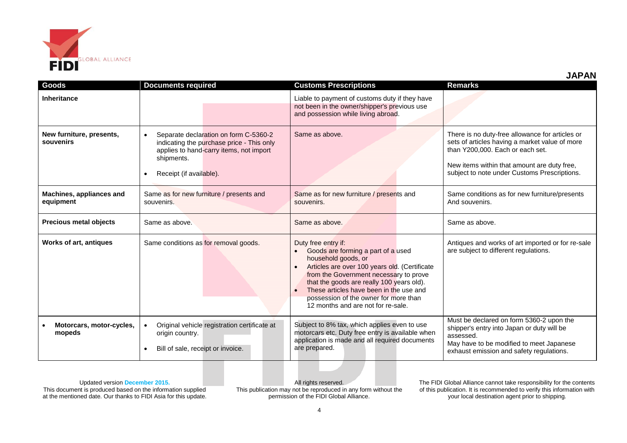

| Goods                                 | <b>Documents required</b>                                                                                                                                                           | <b>Customs Prescriptions</b>                                                                                                                                                                                                                                                                                                                       | <b>Remarks</b>                                                                                                                                                                                                                       |
|---------------------------------------|-------------------------------------------------------------------------------------------------------------------------------------------------------------------------------------|----------------------------------------------------------------------------------------------------------------------------------------------------------------------------------------------------------------------------------------------------------------------------------------------------------------------------------------------------|--------------------------------------------------------------------------------------------------------------------------------------------------------------------------------------------------------------------------------------|
| <b>Inheritance</b>                    |                                                                                                                                                                                     | Liable to payment of customs duty if they have<br>not been in the owner/shipper's previous use<br>and possession while living abroad.                                                                                                                                                                                                              |                                                                                                                                                                                                                                      |
| New furniture, presents,<br>souvenirs | Separate declaration on form C-5360-2<br>$\bullet$<br>indicating the purchase price - This only<br>applies to hand-carry items, not import<br>shipments.<br>Receipt (if available). | Same as above.                                                                                                                                                                                                                                                                                                                                     | There is no duty-free allowance for articles or<br>sets of articles having a market value of more<br>than Y200,000. Each or each set.<br>New items within that amount are duty free,<br>subject to note under Customs Prescriptions. |
| Machines, appliances and<br>equipment | Same as for new furniture / presents and<br>souvenirs.                                                                                                                              | Same as for new furniture / presents and<br>souvenirs.                                                                                                                                                                                                                                                                                             | Same conditions as for new furniture/presents<br>And souvenirs.                                                                                                                                                                      |
| <b>Precious metal objects</b>         | Same as above.                                                                                                                                                                      | Same as above.                                                                                                                                                                                                                                                                                                                                     | Same as above.                                                                                                                                                                                                                       |
| <b>Works of art, antiques</b>         | Same conditions as for removal goods.                                                                                                                                               | Duty free entry if:<br>Goods are forming a part of a used<br>household goods, or<br>Articles are over 100 years old. (Certificate<br>from the Government necessary to prove<br>that the goods are really 100 years old).<br>These articles have been in the use and<br>possession of the owner for more than<br>12 months and are not for re-sale. | Antiques and works of art imported or for re-sale<br>are subject to different regulations.                                                                                                                                           |
| Motorcars, motor-cycles,<br>mopeds    | Original vehicle registration certificate at<br>origin country.<br>Bill of sale, receipt or invoice.                                                                                | Subject to 8% tax, which applies even to use<br>motorcars etc. Duty free entry is available when<br>application is made and all required documents<br>are prepared.                                                                                                                                                                                | Must be declared on form 5360-2 upon the<br>shipper's entry into Japan or duty will be<br>assessed.<br>May have to be modified to meet Japanese<br>exhaust emission and safety regulations.                                          |

Updated version **December 2015.**

This document is produced based on the information supplied at the mentioned date. Our thanks to FIDI Asia for this update.

All rights reserved. This publication may not be reproduced in any form without the permission of the FIDI Global Alliance.

The FIDI Global Alliance cannot take responsibility for the contents of this publication. It is recommended to verify this information with your local destination agent prior to shipping.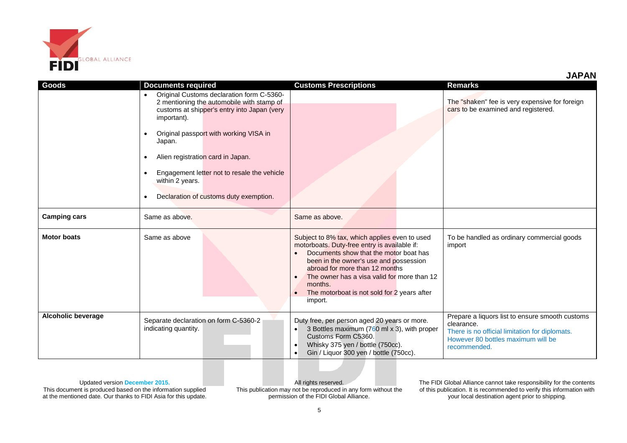

**JAPAN**

| Goods                     | <b>Documents required</b><br>Original Customs declaration form C-5360-<br>2 mentioning the automobile with stamp of<br>customs at shipper's entry into Japan (very<br>important).<br>Original passport with working VISA in<br>Japan.<br>Alien registration card in Japan.<br>$\bullet$ | <b>Customs Prescriptions</b>                                                                                                                                                                                                                                                                                                                         | <b>Remarks</b><br>The "shaken" fee is very expensive for foreign<br>cars to be examined and registered.                                                               |
|---------------------------|-----------------------------------------------------------------------------------------------------------------------------------------------------------------------------------------------------------------------------------------------------------------------------------------|------------------------------------------------------------------------------------------------------------------------------------------------------------------------------------------------------------------------------------------------------------------------------------------------------------------------------------------------------|-----------------------------------------------------------------------------------------------------------------------------------------------------------------------|
| <b>Camping cars</b>       | Engagement letter not to resale the vehicle<br>$\bullet$<br>within 2 years.<br>Declaration of customs duty exemption.<br>Same as above.                                                                                                                                                 | Same as above.                                                                                                                                                                                                                                                                                                                                       |                                                                                                                                                                       |
| <b>Motor boats</b>        | Same as above                                                                                                                                                                                                                                                                           | Subject to 8% tax, which applies even to used<br>motorboats. Duty-free entry is available if:<br>Documents show that the motor boat has<br>been in the owner's use and possession<br>abroad for more than 12 months<br>The owner has a visa valid for more than 12<br>months.<br>The motorboat is not sold for 2 years after<br>$\bullet$<br>import. | To be handled as ordinary commercial goods<br>import                                                                                                                  |
| <b>Alcoholic beverage</b> | Separate declaration on form C-5360-2<br>indicating quantity.                                                                                                                                                                                                                           | Duty free, per person aged 20 years or more.<br>3 Bottles maximum (760 ml x 3), with proper<br>Customs Form C5360.<br>Whisky 375 yen / bottle (750cc).<br>$\bullet$<br>Gin / Liquor 300 yen / bottle (750cc).<br>$\bullet$                                                                                                                           | Prepare a liquors list to ensure smooth customs<br>clearance.<br>There is no official limitation for diplomats.<br>However 80 bottles maximum will be<br>recommended. |

Updated version **December 2015.**

This document is produced based on the information supplied at the mentioned date. Our thanks to FIDI Asia for this update.

All rights reserved. This publication may not be reproduced in any form without the permission of the FIDI Global Alliance.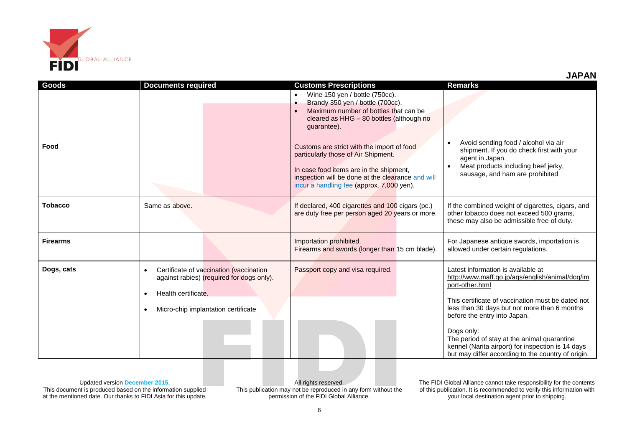

|                 |                                                                                                                                                         | Wine 150 yen / bottle (750cc).<br>$\bullet$<br>Brandy 350 yen / bottle (700cc).<br>$\bullet$<br>Maximum number of bottles that can be<br>$\bullet$<br>cleared as HHG - 80 bottles (although no<br>guarantee).                  |                                                                                                                                                                                                                                                                                                                                                                 |
|-----------------|---------------------------------------------------------------------------------------------------------------------------------------------------------|--------------------------------------------------------------------------------------------------------------------------------------------------------------------------------------------------------------------------------|-----------------------------------------------------------------------------------------------------------------------------------------------------------------------------------------------------------------------------------------------------------------------------------------------------------------------------------------------------------------|
| Food            |                                                                                                                                                         | Customs are strict with the import of food<br>particularly those of Air Shipment.<br>In case food items are in the shipment,<br>inspection will be done at the clearance and will<br>incur a handling fee (approx. 7,000 yen). | Avoid sending food / alcohol via air<br>shipment. If you do check first with your<br>agent in Japan.<br>Meat products including beef jerky,<br>sausage, and ham are prohibited                                                                                                                                                                                  |
| Tobacco         | Same as above.                                                                                                                                          | If declared, 400 cigarettes and 100 cigars (pc.)<br>are duty free per person aged 20 years or more.                                                                                                                            | If the combined weight of cigarettes, cigars, and<br>other tobacco does not exceed 500 grams,<br>these may also be admissible free of duty.                                                                                                                                                                                                                     |
| <b>Firearms</b> |                                                                                                                                                         | Importation prohibited.<br>Firearms and swords (longer than 15 cm blade).                                                                                                                                                      | For Japanese antique swords, importation is<br>allowed under certain regulations.                                                                                                                                                                                                                                                                               |
| Dogs, cats      | Certificate of vaccination (vaccination<br>against rabies) (required for dogs only).<br>Health certificate.<br>٠<br>Micro-chip implantation certificate | Passport copy and visa required.                                                                                                                                                                                               | Latest information is available at<br>http://www.maff.go.jp/aqs/english/animal/dog/im<br>port-other.html<br>This certificate of vaccination must be dated not<br>less than 30 days but not more than 6 months<br>before the entry into Japan.<br>Dogs only:<br>The period of stay at the animal quarantine<br>kennel (Narita airport) for inspection is 14 days |

**Goods Documents required Customs Prescriptions Remarks**

Updated version **December 2015.** This document is produced based on the information supplied at the mentioned date. Our thanks to FIDI Asia for this update.

All rights reserved. This publication may not be reproduced in any form without the permission of the FIDI Global Alliance.

The FIDI Global Alliance cannot take responsibility for the contents of this publication. It is recommended to verify this information with your local destination agent prior to shipping.

but may differ according to the country of origin.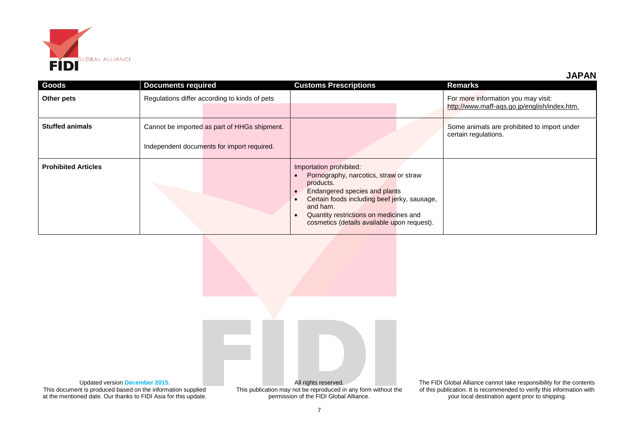

**JAPAN**

| <b>Goods</b>               | <b>Documents required</b>                     | <b>Customs Prescriptions</b>                                                                                                                                                                                                                                         | Remarks                                                                             |
|----------------------------|-----------------------------------------------|----------------------------------------------------------------------------------------------------------------------------------------------------------------------------------------------------------------------------------------------------------------------|-------------------------------------------------------------------------------------|
| Other pets                 | Regulations differ according to kinds of pets |                                                                                                                                                                                                                                                                      | For more information you may visit:<br>http://www.maff-aqs.go.jp/english/index.htm. |
| <b>Stuffed animals</b>     | Cannot be imported as part of HHGs shipment.  |                                                                                                                                                                                                                                                                      | Some animals are prohibited to import under<br>certain regulations.                 |
|                            | Independent documents for import required.    |                                                                                                                                                                                                                                                                      |                                                                                     |
| <b>Prohibited Articles</b> |                                               | Importation prohibited:<br>Pornography, narcotics, straw or straw<br>products.<br>Endangered species and plants<br>Certain foods including beef jerky, sausage,<br>and ham.<br>Quantity restrictions on medicines and<br>cosmetics (details available upon request). |                                                                                     |